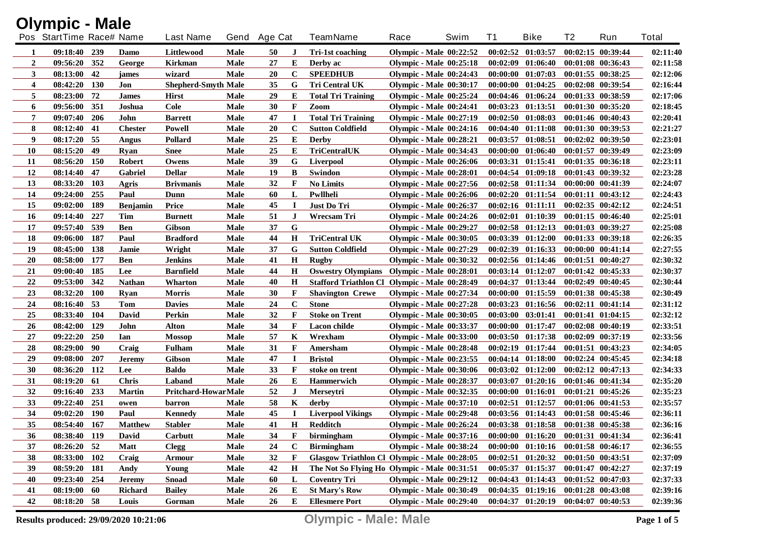|                | <b>Olympic - Male</b>    |     |                 |                            |             |              |             |                                                   |                                |      |          |                                     |                       |                       |              |
|----------------|--------------------------|-----|-----------------|----------------------------|-------------|--------------|-------------|---------------------------------------------------|--------------------------------|------|----------|-------------------------------------|-----------------------|-----------------------|--------------|
|                | Pos StartTime Race# Name |     |                 | <b>Last Name</b>           |             | Gend Age Cat |             | <b>TeamName</b>                                   | Race                           | Swim | T1       | <b>Bike</b>                         | T <sub>2</sub>        | Run                   | <b>Total</b> |
| 1              | 09:18:40 239             |     | Damo            | Littlewood                 | Male        | 50           | J           | Tri-1st coaching                                  | Olympic - Male $00:22:52$      |      | 00:02:52 | 01:03:57                            |                       | 00:02:15 00:39:44     | 02:11:40     |
| $\overline{2}$ | 09:56:20 352             |     | George          | Kirkman                    | Male        | 27           | E           | Derby ac                                          | <b>Olympic - Male 00:25:18</b> |      |          | $00:02:09$ $01:06:40$               |                       | 00:01:08 00:36:43     | 02:11:58     |
| $\mathbf{3}$   | 08:13:00                 | 42  | james           | wizard                     | Male        | 20           | $\mathbf C$ | <b>SPEEDHUB</b>                                   | <b>Olympic - Male 00:24:43</b> |      |          | $00:00:00$ $01:07:03$               |                       | 00:01:55 00:38:25     | 02:12:06     |
| 4              | 08:42:20                 | 130 | Jon             | <b>Shepherd-Smyth Male</b> |             | 35           | G           | <b>Tri Central UK</b>                             | <b>Olympic - Male 00:30:17</b> |      | 00:00:00 | 01:04:25                            |                       | 00:02:08 00:39:54     | 02:16:44     |
| 5              | 08:23:00                 | 72  | <b>James</b>    | <b>Hirst</b>               | Male        | 29           | Е           | <b>Total Tri Training</b>                         | Olympic - Male 00:25:24        |      |          | $00:04:46$ $01:06:24$               |                       | 00:01:33 00:38:59     | 02:17:06     |
| 6              | 09:56:00                 | 351 | Joshua          | Cole                       | Male        | 30           | F           | Zoom                                              | <b>Olympic - Male 00:24:41</b> |      | 00:03:23 | 01:13:51                            |                       | 00:01:30 00:35:20     | 02:18:45     |
| 7              | 09:07:40                 | 206 | John            | <b>Barrett</b>             | <b>Male</b> | 47           | I           | <b>Total Tri Training</b>                         | <b>Olympic - Male 00:27:19</b> |      |          | 00:02:50 01:08:03                   |                       | 00:01:46 00:40:43     | 02:20:41     |
| 8              | 08:12:40                 | 41  | <b>Chester</b>  | Powell                     | <b>Male</b> | 20           | $\mathbf C$ | <b>Sutton Coldfield</b>                           | <b>Olympic - Male 00:24:16</b> |      | 00:04:40 | 01:11:08                            |                       | 00:01:30 00:39:53     | 02:21:27     |
| 9              | 08:17:20                 | 55  | Angus           | Pollard                    | Male        | 25           | Е           | <b>Derby</b>                                      | Olympic - Male 00:28:21        |      | 00:03:57 | 01:08:51                            |                       | 00:02:02 00:39:50     | 02:23:01     |
| 10             | 08:15:20                 | 49  | <b>Ryan</b>     | <b>Snee</b>                | Male        | 25           | Е           | TriCentralUK                                      | <b>Olympic - Male 00:34:43</b> |      | 00:00:00 | 01:06:40                            |                       | 00:01:57 00:39:49     | 02:23:09     |
| 11             | 08:56:20 150             |     | <b>Robert</b>   | Owens                      | Male        | 39           | G           | Liverpool                                         | <b>Olympic - Male 00:26:06</b> |      |          | 00:03:31 01:15:41                   | 00:01:35 00:36:18     |                       | 02:23:11     |
| 12             | 08:14:40 47              |     | <b>Gabriel</b>  | <b>Dellar</b>              | <b>Male</b> | 19           | B           | Swindon                                           | <b>Olympic - Male 00:28:01</b> |      |          | $00:04:54$ $01:09:18$               | 00:01:43 00:39:32     |                       | 02:23:28     |
| 13             | 08:33:20                 | 103 | Agris           | <b>Brivmanis</b>           | Male        | 32           | $\mathbf F$ | <b>No Limits</b>                                  | <b>Olympic - Male 00:27:56</b> |      |          | $00:02:58$ $01:11:34$               | 00:00:00 00:41:39     |                       | 02:24:07     |
| 14             | 09:24:00                 | 255 | Paul            | Dunn                       | Male        | 60           | L           | Pwllheli                                          | <b>Olympic - Male 00:26:06</b> |      |          | $00:02:20$ $01:11:54$               |                       | $00:01:11$ $00:43:12$ | 02:24:43     |
| 15             | 09:02:00                 | 189 | <b>Benjamin</b> | <b>Price</b>               | Male        | 45           | $\bf I$     | Just Do Tri                                       | <b>Olympic - Male 00:26:37</b> |      |          | $00:02:16$ $01:11:11$               | $00:02:35$ $00:42:12$ |                       | 02:24:51     |
| <b>16</b>      | 09:14:40                 | 227 | Tim             | <b>Burnett</b>             | Male        | 51           | J           | Wrecsam Tri                                       | Olympic - Male 00:24:26        |      |          | $00:02:01$ $01:10:39$               |                       | $00:01:15$ $00:46:40$ | 02:25:01     |
| 17             | 09:57:40                 | 539 | <b>Ben</b>      | <b>Gibson</b>              | Male        | 37           | ${\bf G}$   |                                                   | <b>Olympic - Male 00:29:27</b> |      |          | $00:02:58$ $01:12:13$               | $00:01:03$ $00:39:27$ |                       | 02:25:08     |
| 18             | 09:06:00                 | 187 | Paul            | <b>Bradford</b>            | Male        | 44           | $\mathbf H$ | <b>TriCentral UK</b>                              | <b>Olympic - Male 00:30:05</b> |      |          | $00:03:39$ $01:12:00$               | 00:01:33 00:39:18     |                       | 02:26:35     |
| 19             | 08:45:00                 | 138 | Jamie           | Wright                     | Male        | 37           | G           | <b>Sutton Coldfield</b>                           | <b>Olympic - Male 00:27:29</b> |      |          | $00:02:39$ $01:16:33$               |                       | $00:00:00$ $00:41:14$ | 02:27:55     |
| <b>20</b>      | 08:58:00                 | 177 | Ben             | Jenkins                    | Male        | 41           | H           | Rugby                                             | <b>Olympic - Male 00:30:32</b> |      |          | $00:02:56$ $01:14:46$               | $00:01:51$ $00:40:27$ |                       | 02:30:32     |
| 21             | 09:00:40 185             |     | Lee             | <b>Barnfield</b>           | Male        | 44           | $\mathbf H$ | <b>Oswestry Olympians</b> Olympic - Male 00:28:01 |                                |      |          | $00:03:14$ $01:12:07$               | $00:01:42$ $00:45:33$ |                       | 02:30:37     |
| 22             | 09:53:00                 | 342 | <b>Nathan</b>   | <b>Wharton</b>             | Male        | 40           | $\mathbf H$ | Stafford Triathlon Cl Olympic - Male 00:28:49     |                                |      |          | 00:04:37 01:13:44                   | $00:02:49$ $00:40:45$ |                       | 02:30:44     |
| 23             | 08:32:20 100             |     | Ryan            | <b>Morris</b>              | Male        | 30           | $\mathbf F$ | <b>Shavington Crewe</b>                           | <b>Olympic - Male 00:27:34</b> |      |          | 00:00:00 01:15:59                   | 00:01:38 00:45:38     |                       | 02:30:49     |
| 24             | 08:16:40                 | 53  | Tom             | <b>Davies</b>              | Male        | 24           | $\mathbf C$ | <b>Stone</b>                                      | <b>Olympic - Male 00:27:28</b> |      |          | $00:03:23$ $01:16:56$               | $00:02:11$ $00:41:14$ |                       | 02:31:12     |
| 25             | 08:33:40 104             |     | David           | Perkin                     | Male        | 32           | $\mathbf F$ | <b>Stoke on Trent</b>                             | <b>Olympic - Male 00:30:05</b> |      |          | 00:03:00 03:01:41                   | 00:01:41 01:04:15     |                       | 02:32:12     |
| 26             | 08:42:00                 | 129 | John            | <b>Alton</b>               | Male        | 34           | $\mathbf F$ | Lacon childe                                      | <b>Olympic - Male 00:33:37</b> |      |          | 00:00:00 01:17:47                   | $00:02:08$ $00:40:19$ |                       | 02:33:51     |
| 27             | 09:22:20                 | 250 | Ian             | <b>Mossop</b>              | Male        | 57           | K           | Wrexham                                           | <b>Olympic - Male 00:33:00</b> |      |          | $00:03:50$ $01:17:38$               | 00:02:09 00:37:19     |                       | 02:33:56     |
| 28             | 08:29:00                 | 90  | Craig           | <b>Fulham</b>              | Male        | 31           | $\mathbf F$ | Amersham                                          | <b>Olympic - Male 00:28:48</b> |      |          | $00:02:19$ $01:17:44$               | $00:01:51$ $00:43:23$ |                       | 02:34:05     |
| 29             | 09:08:00                 | 207 | <b>Jeremy</b>   | <b>Gibson</b>              | Male        | 47           | Т           | <b>Bristol</b>                                    | <b>Olympic - Male 00:23:55</b> |      |          | $00:04:14$ $01:18:00$               | $00:02:24$ $00:45:45$ |                       | 02:34:18     |
| 30             | 08:36:20 112             |     | Lee             | <b>Baldo</b>               | Male        | 33           | F           | stoke on trent                                    | <b>Olympic - Male 00:30:06</b> |      |          | $00:03:02$ $01:12:00$               | 00:02:12 00:47:13     |                       | 02:34:33     |
| 31             | 08:19:20                 | 61  | <b>Chris</b>    | Laband                     | Male        | 26           | E           | Hammerwich                                        | <b>Olympic - Male 00:28:37</b> |      |          | $00:03:07$ $01:20:16$               | 00:01:46 00:41:34     |                       | 02:35:20     |
| 32             | 09:16:40                 | 233 | <b>Martin</b>   | Pritchard-HowarMale        |             | 52           | $\bf J$     | Merseytri                                         | <b>Olympic - Male 00:32:35</b> |      |          | 00:00:00 01:16:01                   | $00:01:21$ $00:45:26$ |                       | 02:35:23     |
| 33             | 09:22:40                 | 251 | owen            | barron                     | Male        | 58           | K           | derby                                             | <b>Olympic - Male 00:37:10</b> |      |          | $00:02:51$ $01:12:57$               | $00:01:06$ $00:41:53$ |                       | 02:35:57     |
| 34             | 09:02:20 190             |     | Paul            | Kennedy                    | <b>Male</b> | 45           | 1           | <b>Liverpool Vikings</b>                          | <b>Olympic - Male 00:29:48</b> |      |          | $00:03:56$ $01:14:43$               | 00:01:58 00:45:46     |                       | 02:36:11     |
| 35             | 08:54:40 167             |     | <b>Matthew</b>  | <b>Stabler</b>             | Male        | 41           | $\mathbf H$ | Redditch                                          | Olympic - Male 00:26:24        |      |          | 00:03:38 01:18:58 00:01:38 00:45:38 |                       |                       | 02:36:16     |
| 36             | 08:38:40 119             |     | David           | Carbutt                    | <b>Male</b> | 34           | F           | birmingham                                        | <b>Olympic - Male 00:37:16</b> |      |          | $00:00:00$ $01:16:20$               | 00:01:31 00:41:34     |                       | 02:36:41     |
| 37             | $08:26:20$ 52            |     | <b>Matt</b>     | <b>Clegg</b>               | Male        | 24           | $\mathbf C$ | <b>Birmingham</b>                                 | <b>Olympic - Male 00:38:24</b> |      |          | $00:00:00$ $01:10:16$               | 00:01:58 00:46:17     |                       | 02:36:55     |
| 38             | 08:33:00 102             |     | Craig           | Armour                     | Male        | 32           | $\mathbf F$ | Glasgow Triathlon Cl Olympic - Male 00:28:05      |                                |      |          | $00:02:51$ $01:20:32$               | 00:01:50 00:43:51     |                       | 02:37:09     |
| 39             | 08:59:20 181             |     | Andy            | Young                      | Male        | 42           | H           | The Not So Flying Ho Olympic - Male 00:31:51      |                                |      |          | $00:05:37$ $01:15:37$               | 00:01:47 00:42:27     |                       | 02:37:19     |
| 40             | 09:23:40 254             |     | <b>Jeremy</b>   | <b>Snoad</b>               | Male        | 60           | L           | <b>Coventry Tri</b>                               | <b>Olympic - Male 00:29:12</b> |      |          | $00:04:43$ $01:14:43$               | 00:01:52 00:47:03     |                       | 02:37:33     |
| 41             | $08:19:00$ 60            |     | <b>Richard</b>  | <b>Bailey</b>              | Male        | 26           | E           | <b>St Mary's Row</b>                              | <b>Olympic - Male 00:30:49</b> |      |          | $00:04:35$ $01:19:16$               | $00:01:28$ $00:43:08$ |                       | 02:39:16     |
| 42             | 08:18:20 58              |     | Louis           | Gorman                     | Male        | 26           | E           | <b>Ellesmere Port</b>                             | <b>Olympic - Male 00:29:40</b> |      |          | $00:04:37$ $01:20:19$               | 00:04:07 00:40:53     |                       | 02:39:36     |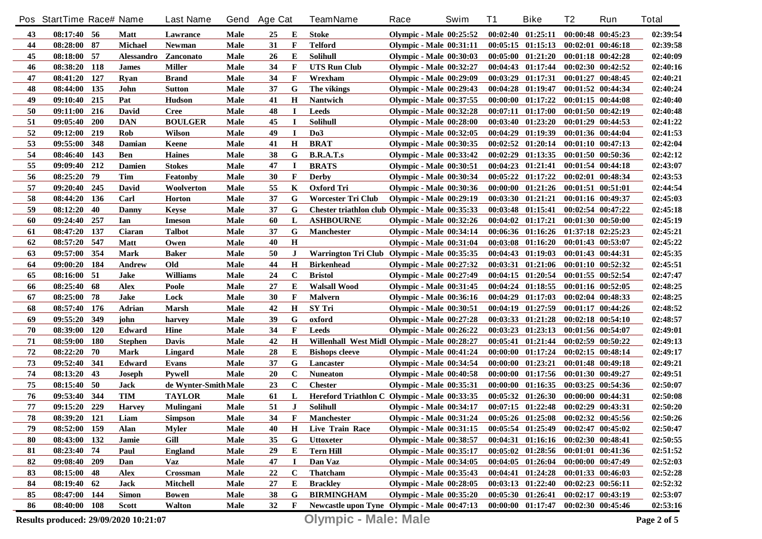|            | Pos StartTime Race# Name              |            |                      | <b>Last Name</b>     |      | Gend Age Cat |              | <b>TeamName</b>                                | Race                           | Swim | T1       | <b>Bike</b>                                 | T <sub>2</sub>        | Run                   | <b>Total</b> |
|------------|---------------------------------------|------------|----------------------|----------------------|------|--------------|--------------|------------------------------------------------|--------------------------------|------|----------|---------------------------------------------|-----------------------|-----------------------|--------------|
| 43         | $08:17:40$ 56                         |            | Matt                 | Lawrance             | Male | 25           | Е            | <b>Stoke</b>                                   | <b>Olympic - Male 00:25:52</b> |      |          | $00:02:40$ $01:25:11$                       | 00:00:48 00:45:23     |                       | 02:39:54     |
| 44         | 08:28:00 87                           |            | Michael              | Newman               | Male | 31           | $\mathbf{F}$ | <b>Telford</b>                                 | <b>Olympic - Male 00:31:11</b> |      |          | $00:05:15$ $01:15:13$                       |                       | $00:02:01$ $00:46:18$ | 02:39:58     |
| 45         | 08:18:00                              | 57         | Alessandro Zanconato |                      | Male | 26           | Е            | <b>Solihull</b>                                | <b>Olympic - Male 00:30:03</b> |      |          | $00:05:00$ $01:21:20$                       |                       | $00:01:18$ $00:42:28$ | 02:40:09     |
| 46         | 08:38:20                              | 118        | <b>James</b>         | <b>Miller</b>        | Male | 34           | F            | <b>UTS Run Club</b>                            | <b>Olympic - Male 00:32:27</b> |      |          | $00:04:43$ $01:17:44$                       | $00:02:30$ $00:42:52$ |                       | 02:40:16     |
| 47         | 08:41:20                              | 127        | <b>Ryan</b>          | <b>Brand</b>         | Male | 34           | F            | Wrexham                                        | <b>Olympic - Male 00:29:09</b> |      |          | $00:03:29$ $01:17:31$                       | $00:01:27$ $00:48:45$ |                       | 02:40:21     |
| 48         | 08:44:00                              | 135        | John                 | <b>Sutton</b>        | Male | 37           | G            | The vikings                                    | <b>Olympic - Male 00:29:43</b> |      |          | $00:04:28$ $01:19:47$                       | 00:01:52 00:44:34     |                       | 02:40:24     |
| 49         | 09:10:40                              | 215        | Pat                  | <b>Hudson</b>        | Male | 41           | $\mathbf H$  | Nantwich                                       | <b>Olympic - Male 00:37:55</b> |      |          | 00:00:00 01:17:22                           |                       | $00:01:15$ $00:44:08$ | 02:40:40     |
| 50         | 09:11:00                              | 216        | David                | <b>Cree</b>          | Male | 48           | $\bf{I}$     | <b>Leeds</b>                                   | <b>Olympic - Male 00:32:28</b> |      |          | 00:07:11 01:17:00                           | 00:01:50 00:42:19     |                       | 02:40:48     |
| 51         | 09:05:40                              | 200        | <b>DAN</b>           | <b>BOULGER</b>       | Male | 45           | $\bf I$      | <b>Solihull</b>                                | Olympic - Male 00:28:00        |      |          | 00:03:40 01:23:20                           |                       | $00:01:29$ $00:44:53$ | 02:41:22     |
| 52         | 09:12:00                              | 219        | Rob                  | Wilson               | Male | 49           | $\bf{I}$     | D <sub>0</sub> 3                               | <b>Olympic - Male 00:32:05</b> |      | 00:04:29 | 01:19:39                                    |                       | 00:01:36 00:44:04     | 02:41:53     |
| 53         | 09:55:00                              | 348        | Damian               | Keene                | Male | 41           | $\mathbf H$  | <b>BRAT</b>                                    | <b>Olympic - Male 00:30:35</b> |      |          | $00:02:52$ $01:20:14$                       | $00:01:10$ $00:47:13$ |                       | 02:42:04     |
| 54         | 08:46:40                              | 143        | <b>Ben</b>           | <b>Haines</b>        | Male | 38           | G            | <b>B.R.A.T.s</b>                               | <b>Olympic - Male 00:33:42</b> |      |          | $00:02:29$ $01:13:35$                       |                       | $00:01:50$ $00:50:36$ | 02:42:12     |
| 55         | 09:09:40                              | 212        | <b>Damien</b>        | <b>Stokes</b>        | Male | 47           | I            | <b>BRATS</b>                                   | <b>Olympic - Male 00:30:51</b> |      |          | $00:04:23$ $01:21:41$                       |                       | $00:01:54$ $00:44:18$ | 02:43:07     |
| 56         | 08:25:20                              | 79         | Tim                  | Featonby             | Male | 30           | F            | <b>Derby</b>                                   | <b>Olympic - Male 00:30:34</b> |      |          | $00:05:22$ $01:17:22$                       |                       | $00:02:01$ $00:48:34$ | 02:43:53     |
| 57         | 09:20:40                              | 245        | David                | Woolverton           | Male | 55           | K            | <b>Oxford Tri</b>                              | <b>Olympic - Male 00:30:36</b> |      |          | $00:00:00$ $01:21:26$                       | 00:01:51 00:51:01     |                       | 02:44:54     |
| 58         | 08:44:20                              | 136        | Carl                 | <b>Horton</b>        | Male | 37           | G            | <b>Worcester Tri Club</b>                      | <b>Olympic - Male 00:29:19</b> |      |          | $00:03:30$ $01:21:21$                       |                       | $00:01:16$ $00:49:37$ | 02:45:03     |
| 59         | 08:12:20                              | 40         | Danny                | <b>Keyse</b>         | Male | 37           | G            | Chester triathlon club Olympic - Male 00:35:33 |                                |      |          | $00:03:48$ $01:15:41$                       |                       | $00:02:54$ $00:47:22$ | 02:45:18     |
| 60         | 09:24:40                              | 257        | Ian                  | <b>Imeson</b>        | Male | 60           | L            | <b>ASHBOURNE</b>                               | <b>Olympic - Male 00:32:26</b> |      |          | $00:04:02$ $01:17:21$                       |                       | $00:01:30$ $00:50:00$ | 02:45:19     |
| 61         | 08:47:20                              | 137        | Ciaran               | Talbot               | Male | 37           | G            | <b>Manchester</b>                              | <b>Olympic - Male 00:34:14</b> |      |          | 00:06:36 01:16:26                           | 01:37:18 02:25:23     |                       | 02:45:21     |
| 62         | 08:57:20                              | 547        | Matt                 | Owen                 | Male | 40           | H            |                                                | <b>Olympic - Male 00:31:04</b> |      |          | $00:03:08$ $01:16:20$                       | 00:01:43 00:53:07     |                       | 02:45:22     |
| 63         | 09:57:00                              | 354        | Mark                 | <b>Baker</b>         | Male | 50           | J            | Warrington Tri Club Olympic - Male 00:35:35    |                                |      |          | $00:04:43$ $01:19:03$                       | 00:01:43 00:44:31     |                       | 02:45:35     |
| 64         | 09:00:20                              | 184        | Andrew               | Old                  | Male | 44           | Н            | <b>Birkenhead</b>                              | <b>Olympic - Male 00:27:32</b> |      |          | 00:03:31 01:21:06                           |                       | $00:01:10$ $00:52:32$ | 02:45:51     |
| 65         | 08:16:00                              | 51         | Jake                 | <b>Williams</b>      | Male | 24           | $\mathbf C$  | <b>Bristol</b>                                 | <b>Olympic - Male 00:27:49</b> |      |          | $00:04:15$ $01:20:54$                       |                       | $00:01:55$ $00:52:54$ | 02:47:47     |
| 66         | 08:25:40                              | 68         | Alex                 | Poole                | Male | 27           | E            | <b>Walsall Wood</b>                            | <b>Olympic - Male 00:31:45</b> |      |          | $00:04:24$ $01:18:55$                       |                       | $00:01:16$ $00:52:05$ | 02:48:25     |
| 67         | 08:25:00                              | 78         | Jake                 | Lock                 | Male | 30           | F            | <b>Malvern</b>                                 | <b>Olympic - Male 00:36:16</b> |      |          | $00:04:29$ $01:17:03$                       | 00:02:04 00:48:33     |                       | 02:48:25     |
| 68         | 08:57:40                              | 176        | Adrian               | <b>Marsh</b>         | Male | 42           | Н            | SY Tri                                         | <b>Olympic - Male 00:30:51</b> |      |          | $00:04:19$ $01:27:59$                       |                       | $00:01:17$ $00:44:26$ | 02:48:52     |
| 69         | 09:55:20                              | 349        | john                 | harvey               | Male | 39           | G            | oxford                                         | <b>Olympic - Male 00:27:28</b> |      |          | $00:03:33$ $01:21:28$                       |                       | $00:02:18$ $00:54:10$ | 02:48:57     |
| 70         | 08:39:00                              | <b>120</b> | Edward               | Hine                 | Male | 34           | $\mathbf{F}$ | <b>Leeds</b>                                   | Olympic - Male 00:26:22        |      |          | $00:03:23$ $01:23:13$                       | 00:01:56 00:54:07     |                       | 02:49:01     |
| 71         | 08:59:00                              | <b>180</b> | <b>Stephen</b>       | Davis                | Male | 42           | H            | Willenhall West Midl Olympic - Male 00:28:27   |                                |      |          | $00:05:41$ $01:21:44$                       |                       | $00:02:59$ $00:50:22$ | 02:49:13     |
| 72         | 08:22:20                              | 70         | Mark                 | Lingard              | Male | 28           | Е            | <b>Bishops cleeve</b>                          | Olympic - Male 00:41:24        |      |          | $00:00:00$ $01:17:24$                       | $00:02:15$ $00:48:14$ |                       | 02:49:17     |
| 73         | 09:52:40                              | 341        | Edward               | Evans                | Male | 37           | G            | Lancaster                                      | <b>Olympic - Male 00:34:54</b> |      |          | $00:00:00$ $01:23:21$                       |                       | $00:01:48$ $00:49:18$ | 02:49:21     |
| 74         | 08:13:20                              | 43         | Joseph               | <b>Pywell</b>        | Male | 20           | $\mathbf C$  | <b>Nuneaton</b>                                | <b>Olympic - Male 00:40:58</b> |      |          | $00:00:00$ $01:17:56$                       | 00:01:30 00:49:27     |                       | 02:49:51     |
| 75         | 08:15:40                              | 50         | Jack                 | de Wynter-Smith Male |      | 23           | $\mathbf C$  | <b>Chester</b>                                 | <b>Olympic - Male 00:35:31</b> |      | 00:00:00 | 01:16:35                                    |                       | 00:03:25 00:54:36     | 02:50:07     |
| 76         | 09:53:40                              | 344        | <b>TIM</b>           | <b>TAYLOR</b>        | Male | 61           | L            | Hereford Triathlon C Olympic - Male 00:33:35   |                                |      |          | $00:05:32$ $01:26:30$                       | 00:00:00 00:44:31     |                       | 02:50:08     |
| 77         | 09:15:20                              | 229        | <b>Harvey</b>        | Mulingani            | Male | 51           | $\bf J$      | <b>Solihull</b>                                | <b>Olympic - Male 00:34:17</b> |      |          | $00:07:15$ $01:22:48$                       | 00:02:29 00:43:31     |                       | 02:50:20     |
| ${\bf 78}$ | 08:39:20 121                          |            | Liam                 | <b>Simpson</b>       | Male | 34           | $\mathbf{F}$ | <b>Manchester</b>                              | <b>Olympic - Male 00:31:24</b> |      |          | 00:05:26 01:25:08 00:02:32 00:45:56         |                       |                       | 02:50:26     |
| 79         | 08:52:00 159                          |            | Alan                 | Myler                | Male | 40           | $\bf{H}$     | Live Train Race                                | <b>Olympic - Male 00:31:15</b> |      |          | $00:05:54$ $01:25:49$ $00:02:47$ $00:45:02$ |                       |                       | 02:50:47     |
| 80         | 08:43:00 132                          |            | Jamie                | Gill                 | Male | 35           | G            | <b>Uttoxeter</b>                               | <b>Olympic - Male 00:38:57</b> |      |          | 00:04:31 01:16:16 00:02:30 00:48:41         |                       |                       | 02:50:55     |
| 81         | $08:23:40$ 74                         |            | Paul                 | <b>England</b>       | Male | 29           | E            | <b>Tern Hill</b>                               | <b>Olympic - Male 00:35:17</b> |      |          | $00:05:02$ $01:28:56$                       | $00:01:01$ $00:41:36$ |                       | 02:51:52     |
| 82         | 09:08:40 209                          |            | Dan                  | Vaz                  | Male | 47           | <b>I</b>     | Dan Vaz                                        | <b>Olympic - Male 00:34:05</b> |      |          | $00:04:05$ $01:26:04$                       |                       | 00:00:00 00:47:49     | 02:52:03     |
| 83         | $08:15:00$ 48                         |            | <b>Alex</b>          | Crossman             | Male | 22           | $\mathbf c$  | <b>Thatcham</b>                                | <b>Olympic - Male 00:35:43</b> |      |          | $00:04:41$ $01:24:28$                       | $00:01:33$ $00:46:03$ |                       | 02:52:28     |
| 84         | 08:19:40 62                           |            | Jack                 | Mitchell             | Male | 27           | Е            | <b>Brackley</b>                                | <b>Olympic - Male 00:28:05</b> |      |          | $00:03:13$ $01:22:40$                       | $00:02:23$ $00:56:11$ |                       | 02:52:32     |
| 85         | 08:47:00 144                          |            | <b>Simon</b>         | <b>Bowen</b>         | Male | 38           | G            | <b>BIRMINGHAM</b>                              | Olympic - Male 00:35:20        |      |          | $00:05:30$ $01:26:41$                       |                       | $00:02:17$ $00:43:19$ | 02:53:07     |
| 86         | 08:40:00 108                          |            | Scott                | <b>Walton</b>        | Male | 32           | F            | Newcastle upon Tyne Olympic - Male 00:47:13    |                                |      |          | 00:00:00 01:17:47 00:02:30 00:45:46         |                       |                       | 02:53:16     |
|            | Results produced: 29/09/2020 10:21:07 |            |                      |                      |      |              |              | <b>Olympic - Male: Male</b>                    |                                |      |          |                                             |                       |                       | Page 2 of 5  |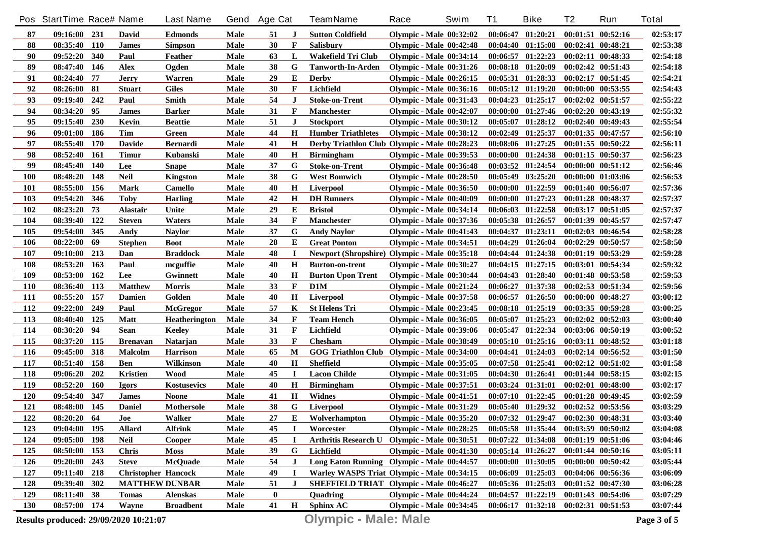|            | Pos StartTime Race# Name |            |                            | <b>Last Name</b>     | Gend        | <b>Age Cat</b> |             | <b>TeamName</b>                                     | Race                           | Swim | <b>T1</b> | <b>Bike</b>                                 | T <sub>2</sub>        | Run                   | <b>Total</b> |
|------------|--------------------------|------------|----------------------------|----------------------|-------------|----------------|-------------|-----------------------------------------------------|--------------------------------|------|-----------|---------------------------------------------|-----------------------|-----------------------|--------------|
| 87         | 09:16:00 231             |            | David                      | <b>Edmonds</b>       | Male        | 51             | J           | <b>Sutton Coldfield</b>                             | Olympic - Male $00:32:02$      |      |           | $00:06:47$ $01:20:21$                       | $00:01:51$ $00:52:16$ |                       | 02:53:17     |
| 88         | 08:35:40 110             |            | <b>James</b>               | <b>Simpson</b>       | Male        | 30             | F           | Salisbury                                           | Olympic - Male $00:42:48$      |      |           | $00:04:40$ $01:15:08$                       | $00:02:41$ $00:48:21$ |                       | 02:53:38     |
| 90         | 09:52:20                 | 340        | Paul                       | Feather              | <b>Male</b> | 63             | L           | Wakefield Tri Club                                  | <b>Olympic - Male 00:34:14</b> |      |           | $00:06:57$ $01:22:23$                       | $00:02:11$ $00:48:33$ |                       | 02:54:18     |
| 89         | 08:47:40                 | 146        | <b>Alex</b>                | Ogden                | <b>Male</b> | 38             | G           | <b>Tanworth-In-Arden</b>                            | <b>Olympic - Male 00:31:26</b> |      |           | 00:08:18 01:20:09                           | 00:02:42 00:51:43     |                       | 02:54:18     |
| 91         | 08:24:40                 | 77         | <b>Jerry</b>               | Warren               | <b>Male</b> | 29             | Е           | <b>Derby</b>                                        | <b>Olympic - Male 00:26:15</b> |      |           | 00:05:31 01:28:33                           | $00:02:17$ $00:51:45$ |                       | 02:54:21     |
| 92         | 08:26:00                 | 81         | <b>Stuart</b>              | <b>Giles</b>         | <b>Male</b> | 30             | F           | Lichfield                                           | <b>Olympic - Male 00:36:16</b> |      |           | $00:05:12$ $01:19:20$                       | $00:00:00$ $00:53:55$ |                       | 02:54:43     |
| 93         | 09:19:40                 | 242        | Paul                       | <b>Smith</b>         | <b>Male</b> | 54             | $\bf J$     | <b>Stoke-on-Trent</b>                               | <b>Olympic - Male 00:31:43</b> |      |           | $00:04:23$ $01:25:17$                       | $00:02:02$ $00:51:57$ |                       | 02:55:22     |
| 94         | 08:34:20                 | 95         | James                      | <b>Barker</b>        | Male        | 31             | F           | <b>Manchester</b>                                   | <b>Olympic - Male 00:42:07</b> |      |           | 00:00:00 01:27:46                           | 00:02:20 00:43:19     |                       | 02:55:32     |
| 95         | 09:15:40                 | 230        | Kevin                      | <b>Beattie</b>       | Male        | 51             | J           | <b>Stockport</b>                                    | <b>Olympic - Male 00:30:12</b> |      |           | $00:05:07$ $01:28:12$                       | $00:02:40$ $00:49:43$ |                       | 02:55:54     |
| 96         | 09:01:00                 | 186        | <b>Tim</b>                 | Green                | Male        | 44             | $\mathbf H$ | <b>Humber Triathletes</b>                           | <b>Olympic - Male 00:38:12</b> |      |           | $00:02:49$ $01:25:37$                       | $00:01:35$ $00:47:57$ |                       | 02:56:10     |
| 97         | 08:55:40                 | <b>170</b> | <b>Davide</b>              | <b>Bernardi</b>      | Male        | 41             | $\mathbf H$ | Derby Triathlon Club Olympic - Male 00:28:23        |                                |      |           | 00:08:06 01:27:25                           | 00:01:55 00:50:22     |                       | 02:56:11     |
| 98         | $08:52:40$ 161           |            | Timur                      | Kubanski             | Male        | 40             | Н           | <b>Birmingham</b>                                   | <b>Olympic - Male 00:39:53</b> |      |           | $00:00:00$ $01:24:38$                       | $00:01:15$ $00:50:37$ |                       | 02:56:23     |
| 99         | 08:45:40                 | <b>140</b> | Lee                        | <b>Snape</b>         | Male        | 37             | G           | <b>Stoke-on-Trent</b>                               | <b>Olympic - Male 00:36:48</b> |      |           | $00:03:52$ $01:24:54$                       | $00:00:00$ $00:51:12$ |                       | 02:56:46     |
| <b>100</b> | 08:48:20                 | 148        | <b>Neil</b>                | Kingston             | Male        | 38             | G           | <b>West Bomwich</b>                                 | <b>Olympic - Male 00:28:50</b> |      |           | $00:05:49$ $03:25:20$                       | 00:00:00 01:03:06     |                       | 02:56:53     |
| 101        | 08:55:00                 | 156        | Mark                       | Camello              | Male        | 40             | $\bf H$     | Liverpool                                           | <b>Olympic - Male 00:36:50</b> |      |           | $00:00:00$ $01:22:59$                       |                       | $00:01:40$ $00:56:07$ | 02:57:36     |
| 103        | 09:54:20                 | 346        | Toby                       | <b>Harling</b>       | Male        | 42             | Н           | <b>DH</b> Runners                                   | <b>Olympic - Male 00:40:09</b> |      |           | $00:00:00$ $01:27:23$                       | 00:01:28 00:48:37     |                       | 02:57:37     |
| 102        | 08:23:20                 | 73         | Alastair                   | Unite                | Male        | 29             | Е           | <b>Bristol</b>                                      | <b>Olympic - Male 00:34:14</b> |      |           | $00:06:03$ $01:22:58$                       |                       | $00:03:17$ $00:51:05$ | 02:57:37     |
| 104        | 08:39:40                 | 122        | <b>Steven</b>              | Waters               | Male        | 34             | F           | <b>Manchester</b>                                   | <b>Olympic - Male 00:37:36</b> |      |           | $00:05:38$ $01:26:57$                       | 00:01:39 00:45:57     |                       | 02:57:47     |
| 105        | 09:54:00                 | 345        | Andy                       | <b>Navlor</b>        | Male        | 37             | G           | <b>Andy Navlor</b>                                  | <b>Olympic - Male 00:41:43</b> |      |           | $00:04:37$ $01:23:11$                       | $00:02:03$ $00:46:54$ |                       | 02:58:28     |
| 106        | 08:22:00                 | 69         | <b>Stephen</b>             | <b>Boot</b>          | Male        | 28             | E           | <b>Great Ponton</b>                                 | <b>Olympic - Male 00:34:51</b> |      |           | $00:04:29$ $01:26:04$                       | $00:02:29$ $00:50:57$ |                       | 02:58:50     |
| 107        | 09:10:00                 | 213        | Dan                        | <b>Braddock</b>      | Male        | 48             | $\bf{I}$    | <b>Newport (Shropshire) Olympic - Male 00:35:18</b> |                                |      |           | $00:04:44$ $01:24:38$                       | $00:01:19$ $00:53:29$ |                       | 02:59:28     |
| 108        | 08:53:20                 | 163        | Paul                       | mcguffie             | Male        | 40             | $\mathbf H$ | <b>Burton-on-trent</b>                              | <b>Olympic - Male 00:30:27</b> |      |           | $00:04:15$ $01:27:15$                       | 00:03:01 00:54:34     |                       | 02:59:32     |
| 109        | 08:53:00                 | 162        | Lee                        | Gwinnett             | Male        | 40             | $\mathbf H$ | <b>Burton Upon Trent</b>                            | <b>Olympic - Male 00:30:44</b> |      |           | $00:04:43$ $01:28:40$                       | 00:01:48 00:53:58     |                       | 02:59:53     |
| <b>110</b> | 08:36:40                 | 113        | <b>Matthew</b>             | <b>Morris</b>        | Male        | 33             | F           | D1M                                                 | Olympic - Male 00:21:24        |      |           | 00:06:27 01:37:38                           | 00:02:53 00:51:34     |                       | 02:59:56     |
| <b>111</b> | 08:55:20                 | 157        | Damien                     | Golden               | Male        | 40             | $\mathbf H$ | <b>Liverpool</b>                                    | <b>Olympic - Male 00:37:58</b> |      |           | $00:06:57$ $01:26:50$                       | $00:00:00$ $00:48:27$ |                       | 03:00:12     |
| 112        | 09:22:00                 | 249        | Paul                       | <b>McGregor</b>      | Male        | 57             | K           | <b>St Helens Tri</b>                                | <b>Olympic - Male 00:23:45</b> |      |           | 00:08:18 01:25:19                           | 00:03:35 00:59:28     |                       | 03:00:25     |
| 113        | 08:40:40                 | 125        | <b>Matt</b>                | <b>Heatherington</b> | Male        | 34             | F           | <b>Team Hench</b>                                   | <b>Olympic - Male 00:36:05</b> |      |           | $00:05:07$ $01:25:23$                       | $00:02:02$ $00:52:03$ |                       | 03:00:40     |
| 114        | 08:30:20                 | 94         | Sean                       | <b>Keeley</b>        | Male        | 31             | F           | Lichfield                                           | <b>Olympic - Male 00:39:06</b> |      |           | $00:05:47$ $01:22:34$                       | 00:03:06 00:50:19     |                       | 03:00:52     |
| 115        | 08:37:20                 | 115        | <b>Brenavan</b>            | Natarjan             | Male        | 33             | F           | <b>Chesham</b>                                      | <b>Olympic - Male 00:38:49</b> |      |           | $00:05:10$ $01:25:16$                       | 00:03:11 00:48:52     |                       | 03:01:18     |
| 116        | 09:45:00                 | 318        | <b>Malcolm</b>             | <b>Harrison</b>      | Male        | 65             | M           | GOG Triathlon Club Olympic - Male 00:34:00          |                                |      |           | $00:04:41$ $01:24:03$                       | $00:02:14$ $00:56:52$ |                       | 03:01:50     |
| 117        | 08:51:40                 | 158        | <b>Ben</b>                 | Wilkinson            | Male        | 40             | Н           | <b>Sheffield</b>                                    | <b>Olympic - Male 00:35:05</b> |      |           | $00:07:58$ $01:25:41$                       | 00:02:12 00:51:02     |                       | 03:01:58     |
| 118        | 09:06:20                 | 202        | Kristien                   | <b>Wood</b>          | <b>Male</b> | 45             | $\mathbf I$ | <b>Lacon Childe</b>                                 | <b>Olympic - Male 00:31:05</b> |      |           | 00:04:30 01:26:41                           | $00:01:44$ $00:58:15$ |                       | 03:02:15     |
| 119        | 08:52:20                 | <b>160</b> | Igors                      | Kostusevics          | Male        | 40             | $\mathbf H$ | <b>Birmingham</b>                                   | <b>Olympic - Male 00:37:51</b> |      |           | 00:03:24 01:31:01                           | $00:02:01$ $00:48:00$ |                       | 03:02:17     |
| <b>120</b> | 09:54:40                 | 347        | <b>James</b>               | <b>Noone</b>         | Male        | 41             | $\bf H$     | Widnes                                              | <b>Olympic - Male 00:41:51</b> |      |           | $00:07:10$ $01:22:45$                       | 00:01:28 00:49:45     |                       | 03:02:59     |
| 121        | 08:48:00                 | 145        | <b>Daniel</b>              | Mothersole           | Male        | 38             | G           | Liverpool                                           | <b>Olympic - Male 00:31:29</b> |      |           | $00:05:40$ $01:29:32$                       | $00:02:52$ $00:53:56$ |                       | 03:03:29     |
| <u>122</u> | 08:20:20 64              |            | Joe                        | Walker               | Male        | $\bf 27$       | E           | Wolverhampton                                       | <b>Olympic - Male 00:35:20</b> |      |           | 00:07:32 01:29:47 00:02:30 00:48:31         |                       |                       | 03:03:40     |
| 123        | $09:04:00$ 195           |            | <b>Allard</b>              | <b>Alfrink</b>       | Male        | 45             | 1           | Worcester                                           | <b>Olympic - Male 00:28:25</b> |      |           | $00:05:58$ $01:35:44$ $00:03:59$ $00:50:02$ |                       |                       | 03:04:08     |
| 124        | 09:05:00 198             |            | Neil                       | Cooper               | Male        | 45             | <b>I</b>    | Arthritis Research U Olympic - Male 00:30:51        |                                |      |           | $00:07:22$ $01:34:08$                       | 00:01:19 00:51:06     |                       | 03:04:46     |
| 125        | 08:50:00 153             |            | <b>Chris</b>               | Moss                 | Male        | 39             | G           | Lichfield                                           | <b>Olympic - Male 00:41:30</b> |      |           | $00:05:14$ $01:26:27$                       | 00:01:44 00:50:16     |                       | 03:05:11     |
| 126        | 09:20:00 243             |            | <b>Steve</b>               | <b>McQuade</b>       | Male        | 54             | J           | Long Eaton Running Olympic - Male 00:44:57          |                                |      |           | $00:00:00$ $01:30:05$                       | 00:00:00 00:50:42     |                       | 03:05:44     |
| 127        | 09:11:40 218             |            | <b>Christopher Hancock</b> |                      | Male        | 49             | <b>I</b>    | Warley WASPS Triat Olympic - Male 00:34:15          |                                |      |           | $00:06:09$ $01:25:03$                       | 00:04:06 00:56:36     |                       | 03:06:09     |
| 128        | 09:39:40 302             |            | <b>MATTHEW DUNBAR</b>      |                      | Male        | 51             | J           | <b>SHEFFIELD TRIAT Olympic - Male 00:46:27</b>      |                                |      |           | $00:05:36$ $01:25:03$                       | 00:01:52 00:47:30     |                       | 03:06:28     |
| 129        | 08:11:40 38              |            | <b>Tomas</b>               | Alenskas             | Male        | $\bf{0}$       |             | Quadring                                            | Olympic - Male 00:44:24        |      |           | $00:04:57$ $01:22:19$                       | 00:01:43 00:54:06     |                       | 03:07:29     |
| 130        | 08:57:00 174             |            | Wayne                      | <b>Broadbent</b>     | Male        | 41             | $\mathbf H$ | <b>Sphinx AC</b>                                    | <b>Olympic - Male 00:34:45</b> |      |           | 00:06:17 01:32:18 00:02:31 00:51:53         |                       |                       | 03:07:44     |

**Results produced: 29/09/2020 10:21:07 Olympic - Male: Male Page 3 of 5**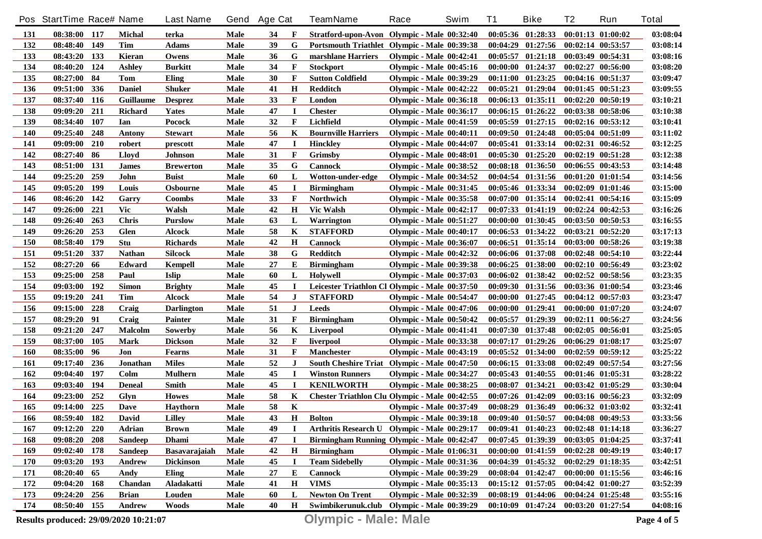|            | Pos StartTime Race# Name              |       |                | <b>Last Name</b>  | Gend        | <b>Age Cat</b> |              | <b>TeamName</b>                                   | Race                           | Swim | <b>T1</b> | <b>Bike</b>           | T <sub>2</sub>        | Run                   | <b>Total</b> |
|------------|---------------------------------------|-------|----------------|-------------------|-------------|----------------|--------------|---------------------------------------------------|--------------------------------|------|-----------|-----------------------|-----------------------|-----------------------|--------------|
| 131        | 08:38:00 117                          |       | <b>Michal</b>  | terka             | Male        | 34             | F            | Stratford-upon-Avon Olympic - Male 00:32:40       |                                |      |           | $00:05:36$ $01:28:33$ |                       | $00:01:13$ $01:00:02$ | 03:08:04     |
| 132        | 08:48:40 149                          |       | Tim            | <b>Adams</b>      | <b>Male</b> | 39             | G            | Portsmouth Triathlet Olympic - Male 00:39:38      |                                |      |           | $00:04:29$ $01:27:56$ | $00:02:14$ $00:53:57$ |                       | 03:08:14     |
| 133        | 08:43:20 133                          |       | Kieran         | Owens             | <b>Male</b> | 36             | G            | marshlane Harriers                                | <b>Olympic - Male 00:42:41</b> |      |           | $00:05:57$ $01:21:18$ | 00:03:49 00:54:31     |                       | 03:08:16     |
| 134        | 08:40:20 124                          |       | <b>Ashley</b>  | <b>Burkitt</b>    | <b>Male</b> | 34             | F            | <b>Stockport</b>                                  | <b>Olympic - Male 00:45:16</b> |      |           | 00:00:00 01:24:37     | 00:02:27 00:56:00     |                       | 03:08:20     |
| 135        | 08:27:00                              | 84    | Tom            | Eling             | Male        | 30             | F            | <b>Sutton Coldfield</b>                           | <b>Olympic - Male 00:39:29</b> |      |           | $00:11:00$ $01:23:25$ | 00:04:16 00:51:37     |                       | 03:09:47     |
| 136        | 09:51:00                              | 336   | <b>Daniel</b>  | <b>Shuker</b>     | <b>Male</b> | 41             | $\bf H$      | Redditch                                          | <b>Olympic - Male 00:42:22</b> |      |           | $00:05:21$ $01:29:04$ |                       | $00:01:45$ $00:51:23$ | 03:09:55     |
| 137        | 08:37:40                              | 116   | Guillaume      | <b>Desprez</b>    | <b>Male</b> | 33             | F            | London                                            | <b>Olympic - Male 00:36:18</b> |      |           | $00:06:13$ $01:35:11$ |                       | $00:02:20$ $00:50:19$ | 03:10:21     |
| 138        | 09:09:20                              | 211   | <b>Richard</b> | <b>Yates</b>      | <b>Male</b> | 47             | I            | <b>Chester</b>                                    | <b>Olympic - Male 00:36:17</b> |      |           | $00:06:15$ $01:26:22$ |                       | 00:03:38 00:58:06     | 03:10:38     |
| 139        | 08:34:40                              | 107   | Ian            | Pocock            | <b>Male</b> | 32             | F            | Lichfield                                         | <b>Olympic - Male 00:41:59</b> |      |           | $00:05:59$ $01:27:15$ |                       | $00:02:16$ $00:53:12$ | 03:10:41     |
| 140        | 09:25:40                              | 248   | Antony         | <b>Stewart</b>    | <b>Male</b> | 56             | K            | <b>Bournville Harriers</b>                        | <b>Olympic - Male 00:40:11</b> |      |           | $00:09:50$ $01:24:48$ |                       | 00:05:04 00:51:09     | 03:11:02     |
| 141        | 09:09:00                              | 210   | robert         | prescott          | <b>Male</b> | 47             | $\bf I$      | <b>Hinckley</b>                                   | <b>Olympic - Male 00:44:07</b> |      |           | 00:05:41 01:33:14     |                       | 00:02:31 00:46:52     | 03:12:25     |
| 142        | 08:27:40                              | -86   | Lloyd          | Johnson           | Male        | 31             | F            | Grimsby                                           | <b>Olympic - Male 00:48:01</b> |      |           | $00:05:30$ $01:25:20$ |                       | $00:02:19$ $00:51:28$ | 03:12:38     |
| 143        | 08:51:00                              | 131   | <b>James</b>   | <b>Brewerton</b>  | Male        | 35             | G            | <b>Cannock</b>                                    | <b>Olympic - Male 00:38:52</b> |      |           | $00:08:18$ $01:36:50$ |                       | $00:06:55$ $00:43:53$ | 03:14:48     |
| 144        | 09:25:20                              | 259   | John           | <b>Buist</b>      | Male        | 60             | L            | Wotton-under-edge                                 | <b>Olympic - Male 00:34:52</b> |      |           | $00:04:54$ $01:31:56$ |                       | $00:01:20$ $01:01:54$ | 03:14:56     |
| 145        | 09:05:20                              | 199   | Louis          | <b>Osbourne</b>   | Male        | 45             | $\bf I$      | <b>Birmingham</b>                                 | <b>Olympic - Male 00:31:45</b> |      |           | $00:05:46$ $01:33:34$ |                       | $00:02:09$ $01:01:46$ | 03:15:00     |
| 146        | 08:46:20                              | - 142 | Garry          | <b>Coombs</b>     | Male        | 33             | F            | Northwich                                         | <b>Olympic - Male 00:35:58</b> |      |           | $00:07:00$ $01:35:14$ |                       | $00:02:41$ $00:54:16$ | 03:15:09     |
| 147        | 09:26:00                              | 221   | <b>Vic</b>     | Walsh             | Male        | 42             | $\mathbf H$  | <b>Vic Walsh</b>                                  | <b>Olympic - Male 00:42:17</b> |      |           | $00:07:33$ $01:41:19$ |                       | $00:02:24$ $00:42:53$ | 03:16:26     |
| 148        | 09:26:40                              | 263   | <b>Chris</b>   | <b>Purslow</b>    | Male        | 63             | L            | <b>Warrington</b>                                 | <b>Olympic - Male 00:51:27</b> |      |           | $00:00:00$ $01:30:45$ |                       | $00:03:50$ $00:50:53$ | 03:16:55     |
| 149        | 09:26:20                              | 253   | <b>Glen</b>    | <b>Alcock</b>     | Male        | 58             | K            | <b>STAFFORD</b>                                   | <b>Olympic - Male 00:40:17</b> |      |           | $00:06:53$ $01:34:22$ |                       | $00:03:21$ $00:52:20$ | 03:17:13     |
| 150        | 08:58:40                              | 179   | Stu            | <b>Richards</b>   | Male        | 42             | $\mathbf H$  | <b>Cannock</b>                                    | <b>Olympic - Male 00:36:07</b> |      |           | $00:06:51$ $01:35:14$ |                       | 00:03:00 00:58:26     | 03:19:38     |
| 151        | 09:51:20                              | 337   | <b>Nathan</b>  | <b>Silcock</b>    | Male        | 38             | G            | Redditch                                          | <b>Olympic - Male 00:42:32</b> |      |           | 00:06:06 01:37:08     |                       | $00:02:48$ $00:54:10$ | 03:22:44     |
| 152        | 08:27:20                              | 66    | Edward         | Kempell           | Male        | 27             | Е            | <b>Birmingham</b>                                 | <b>Olympic - Male 00:39:38</b> |      |           | $00:06:25$ $01:38:00$ |                       | 00:02:10 00:56:49     | 03:23:02     |
| 153        | 09:25:00                              | 258   | Paul           | <b>Islip</b>      | Male        | 60             | L            | <b>Holywell</b>                                   | <b>Olympic - Male 00:37:03</b> |      |           | 00:06:02 01:38:42     |                       | 00:02:52 00:58:56     | 03:23:35     |
| 154        | 09:03:00                              | 192   | <b>Simon</b>   | <b>Brighty</b>    | Male        | 45             | $\bf{I}$     | Leicester Triathlon Cl Olympic - Male 00:37:50    |                                |      |           | 00:09:30 01:31:56     |                       | 00:03:36 01:00:54     | 03:23:46     |
| 155        | 09:19:20                              | 241   | Tim            | <b>Alcock</b>     | Male        | 54             | J            | <b>STAFFORD</b>                                   | <b>Olympic - Male 00:54:47</b> |      |           | 00:00:00 01:27:45     |                       | $00:04:12$ $00:57:03$ | 03:23:47     |
| 156        | 09:15:00                              | 228   | Craig          | <b>Darlington</b> | Male        | 51             | J            | <b>Leeds</b>                                      | <b>Olympic - Male 00:47:06</b> |      |           | $00:00:00$ $01:29:41$ |                       | $00:00:00$ $01:07:20$ | 03:24:07     |
| 157        | 08:29:20                              | 91    | Craig          | <b>Painter</b>    | Male        | 31             | F            | <b>Birmingham</b>                                 | <b>Olympic - Male 00:50:42</b> |      |           | $00:05:57$ $01:29:39$ | 00:02:11 00:56:27     |                       | 03:24:56     |
| 158        | 09:21:20                              | 247   | <b>Malcolm</b> | <b>Sowerby</b>    | Male        | 56             | K            | Liverpool                                         | <b>Olympic - Male 00:41:41</b> |      |           | 00:07:30 01:37:48     |                       | $00:02:05$ $00:56:01$ | 03:25:05     |
| 159        | 08:37:00                              | 105   | Mark           | <b>Dickson</b>    | Male        | 32             | $\mathbf{F}$ | liverpool                                         | <b>Olympic - Male 00:33:38</b> |      |           | $00:07:17$ $01:29:26$ |                       | $00:06:29$ $01:08:17$ | 03:25:07     |
| <b>160</b> | 08:35:00                              | 96    | Jon            | <b>Fearns</b>     | Male        | 31             | F            | <b>Manchester</b>                                 | <b>Olympic - Male 00:43:19</b> |      |           | $00:05:52$ $01:34:00$ |                       | $00:02:59$ $00:59:12$ | 03:25:22     |
| 161        | 09:17:40                              | 236   | Jonathan       | <b>Miles</b>      | Male        | 52             | J            | South Cheshire Triat Olympic - Male 00:47:50      |                                |      |           | $00:06:15$ $01:33:08$ |                       | 00:02:49 00:57:54     | 03:27:56     |
| 162        | 09:04:40                              | 197   | Colm           | <b>Mulhern</b>    | Male        | 45             | $\bf I$      | <b>Winston Runners</b>                            | <b>Olympic - Male 00:34:27</b> |      |           | $00:05:43$ $01:40:55$ | 00:01:46 01:05:31     |                       | 03:28:22     |
| 163        | 09:03:40                              | 194   | <b>Deneal</b>  | <b>Smith</b>      | Male        | 45             | <b>I</b>     | <b>KENILWORTH</b>                                 | <b>Olympic - Male 00:38:25</b> |      |           | $00:08:07$ $01:34:21$ |                       | $00:03:42$ $01:05:29$ | 03:30:04     |
| 164        | 09:23:00                              | 252   | Glyn           | <b>Howes</b>      | Male        | 58             | K            | Chester Triathlon Clu Olympic - Male 00:42:55     |                                |      |           | $00:07:26$ $01:42:09$ |                       | 00:03:16 00:56:23     | 03:32:09     |
| 165        | 09:14:00                              | 225   | Dave           | <b>Havthorn</b>   | <b>Male</b> | 58             | K            |                                                   | <b>Olympic - Male 00:37:49</b> |      |           | $00:08:29$ $01:36:49$ |                       | 00:06:32 01:03:02     | 03:32:41     |
| 166        | 08:59:40 182                          |       | <b>David</b>   | <b>Lilley</b>     | Male        | 43             | Н            | <b>Bolton</b>                                     | <b>Olympic - Male 00:39:18</b> |      |           | $00:09:40$ $01:50:57$ | 00:04:08 00:49:53     |                       | 03:33:56     |
| 167        | 09:12:20 220                          |       | Adrian         | <b>Brown</b>      | Male        | 49             | П            | Arthritis Research U Olympic - Male 00:29:17      |                                |      |           | $00:09:41$ $01:40:23$ | $00:02:48$ $01:14:18$ |                       | 03:36:27     |
| 168        | 09:08:20                              | 208   | <b>Sandeep</b> | <b>Dhami</b>      | Male        | 47             | Л            | <b>Birmingham Running Olympic - Male 00:42:47</b> |                                |      |           | $00:07:45$ $01:39:39$ | 00:03:05 01:04:25     |                       | 03:37:41     |
| 169        | 09:02:40 178                          |       | <b>Sandeep</b> | Basavarajaiah     | Male        | 42             | H            | Birmingham                                        | <b>Olympic - Male 01:06:31</b> |      |           | $00:00:00$ $01:41:59$ | 00:02:28 00:49:19     |                       | 03:40:17     |
| 170        | 09:03:20 193                          |       | Andrew         | <b>Dickinson</b>  | Male        | 45             | $\bf{I}$     | <b>Team Sidebelly</b>                             | <b>Olympic - Male 00:31:36</b> |      |           | 00:04:39 01:45:32     | $00:02:29$ $01:18:35$ |                       | 03:42:51     |
| 171        | 08:20:40 65                           |       | Andy           | Eling             | Male        | 27             | E            | <b>Cannock</b>                                    | <b>Olympic - Male 00:39:29</b> |      |           | $00:08:04$ $01:42:47$ | 00:00:00 01:15:56     |                       | 03:46:16     |
| 172        | 09:04:20 168                          |       | Chandan        | Aladakatti        | Male        | 41             | $\mathbf H$  | <b>VIMS</b>                                       | <b>Olympic - Male 00:35:13</b> |      |           | $00:15:12$ $01:57:05$ | 00:04:42 01:00:27     |                       | 03:52:39     |
| 173        | 09:24:20 256                          |       | <b>Brian</b>   | Louden            | Male        | 60             | L            | <b>Newton On Trent</b>                            | <b>Olympic - Male 00:32:39</b> |      |           | $00:08:19$ $01:44:06$ | 00:04:24 01:25:48     |                       | 03:55:16     |
| 174        | 08:50:40 155                          |       | Andrew         | Woods             | Male        | 40             | $\mathbf H$  | Swimbikerunuk.club Olympic - Male 00:39:29        |                                |      |           | 00:10:09 01:47:24     | $00:03:20$ $01:27:54$ |                       | 04:08:16     |
|            | Results produced: 29/09/2020 10:21:07 |       |                |                   |             |                |              | <b>Olympic - Male: Male</b>                       |                                |      |           |                       |                       |                       | Page 4 of 5  |